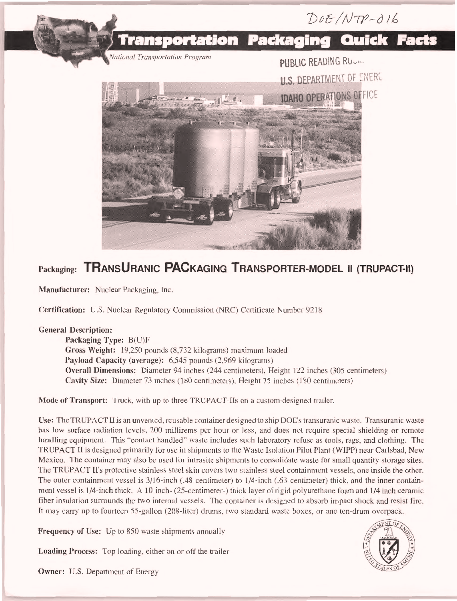

## Packaging: TRANSURANIC PACKAGING TRANSPORTER-MODEL II (TRUPACT-II)

Manufacturer: Nuclear Packaging, Inc.

Certification: U.S. Nuclear Regulatory Commission (NRC) Certificate Number 9218

## General Description:

Packaging Type: B(U)F Gross Weight: 19,250 pounds (8,732 kilograms) maximum loaded Payload Capacity (average): 6,545 pounds (2,969 kilograms) Overall Dimensions: Diameter 94 inches (244 centimeters), Height 122 inches (305 centimeters) Cavity Size: Diameter 73 inches (180 centimeters), Height 75 inches (180 centimeters)

Mode of Transport: Truck, with up to three TRUPACT-Ils on a custom-designed trailer.

Use: The TRUPACT II is an unvented, reusable container designed to ship DOE's transuranic waste. Transuranic waste has low surface radiation levels, 200 millirems per hour or less, and does not require special shielding or remote handling equipment. This "contact handled" waste includes such laboratory refuse as tools, rags, and clothing. The TRUPACT II is designed primarily for use in shipments to the Waste Isolation Pilot Plant (WIPP) near Carlsbad, New Mexico. The container may also be used for intrasite shipments to consolidate waste for small quantity storage sites. The TRUPACT II's protective stainless steel skin covers two stainless steel containment vessels, one inside the other. The outer containment vessel is 3/16-inch (.48-centimeter) to 1/4-inch (.63-centimeter) thick, and the inner containment vessel is 1/4-inch thick. A 10-inch- (25-centimeter-) thick layer of rigid polyurethane foam and 1/4 inch ceramic fiber insulation surrounds the two internal vessels. The container is designed to absorb impact shock and resist fire. It may carry up to fourteen 55-gallon (208-liter) drums, two standard waste boxes, or one ten-drum overpack.

Frequency of Use: Up to 850 waste shipments annually

Loading Process: Top loading, either on or off the trailer



Owner: U.S. Department of Energy